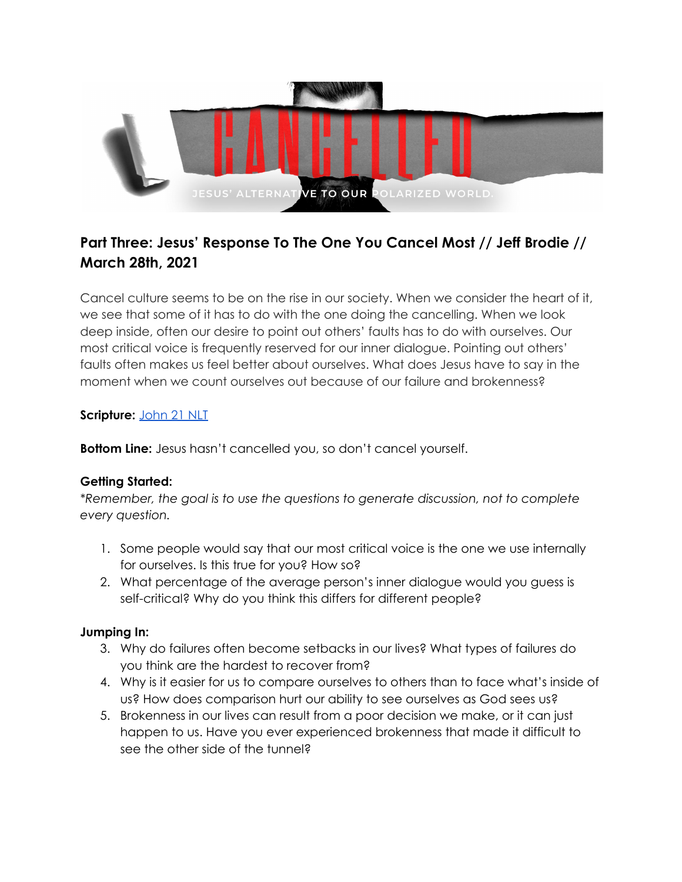

# **Part Three: Jesus' Response To The One You Cancel Most // Jeff Brodie // March 28th, 2021**

Cancel culture seems to be on the rise in our society. When we consider the heart of it, we see that some of it has to do with the one doing the cancelling. When we look deep inside, often our desire to point out others' faults has to do with ourselves. Our most critical voice is frequently reserved for our inner dialogue. Pointing out others' faults often makes us feel better about ourselves. What does Jesus have to say in the moment when we count ourselves out because of our failure and brokenness?

### **Scripture:** [John](https://www.biblegateway.com/passage/?search=John+21&version=NLT) 21 NLT

**Bottom Line:** Jesus hasn't cancelled you, so don't cancel yourself.

# **Getting Started:**

*\*Remember, the goal is to use the questions to generate discussion, not to complete every question.*

- 1. Some people would say that our most critical voice is the one we use internally for ourselves. Is this true for you? How so?
- 2. What percentage of the average person's inner dialogue would you guess is self-critical? Why do you think this differs for different people?

# **Jumping In:**

- 3. Why do failures often become setbacks in our lives? What types of failures do you think are the hardest to recover from?
- 4. Why is it easier for us to compare ourselves to others than to face what's inside of us? How does comparison hurt our ability to see ourselves as God sees us?
- 5. Brokenness in our lives can result from a poor decision we make, or it can just happen to us. Have you ever experienced brokenness that made it difficult to see the other side of the tunnel?